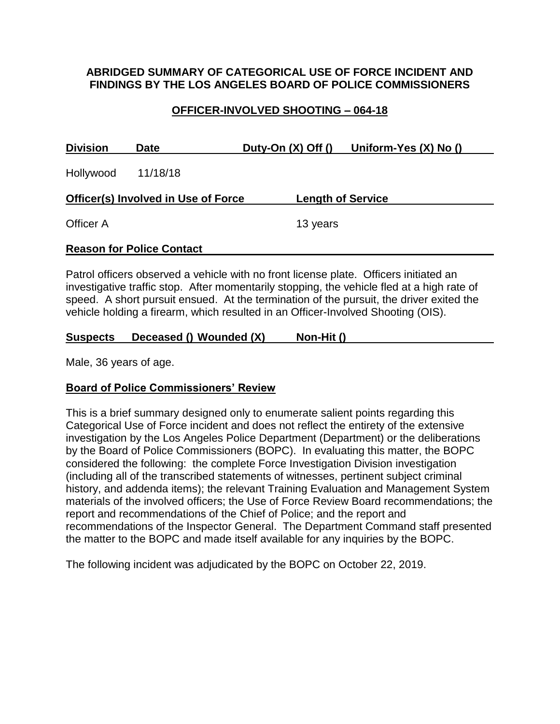### **ABRIDGED SUMMARY OF CATEGORICAL USE OF FORCE INCIDENT AND FINDINGS BY THE LOS ANGELES BOARD OF POLICE COMMISSIONERS**

## **OFFICER-INVOLVED SHOOTING – 064-18**

| <b>Division</b>                            | <b>Date</b>                      | Duty-On $(X)$ Off $()$ | Uniform-Yes (X) No ()    |  |
|--------------------------------------------|----------------------------------|------------------------|--------------------------|--|
| Hollywood                                  | 11/18/18                         |                        |                          |  |
| <b>Officer(s) Involved in Use of Force</b> |                                  |                        | <b>Length of Service</b> |  |
| Officer A                                  |                                  | 13 years               |                          |  |
|                                            | <b>Reason for Police Contact</b> |                        |                          |  |

Patrol officers observed a vehicle with no front license plate. Officers initiated an investigative traffic stop. After momentarily stopping, the vehicle fled at a high rate of speed. A short pursuit ensued. At the termination of the pursuit, the driver exited the vehicle holding a firearm, which resulted in an Officer-Involved Shooting (OIS).

#### **Suspects Deceased () Wounded (X) Non-Hit ()**

Male, 36 years of age.

## **Board of Police Commissioners' Review**

This is a brief summary designed only to enumerate salient points regarding this Categorical Use of Force incident and does not reflect the entirety of the extensive investigation by the Los Angeles Police Department (Department) or the deliberations by the Board of Police Commissioners (BOPC). In evaluating this matter, the BOPC considered the following: the complete Force Investigation Division investigation (including all of the transcribed statements of witnesses, pertinent subject criminal history, and addenda items); the relevant Training Evaluation and Management System materials of the involved officers; the Use of Force Review Board recommendations; the report and recommendations of the Chief of Police; and the report and recommendations of the Inspector General. The Department Command staff presented the matter to the BOPC and made itself available for any inquiries by the BOPC.

The following incident was adjudicated by the BOPC on October 22, 2019.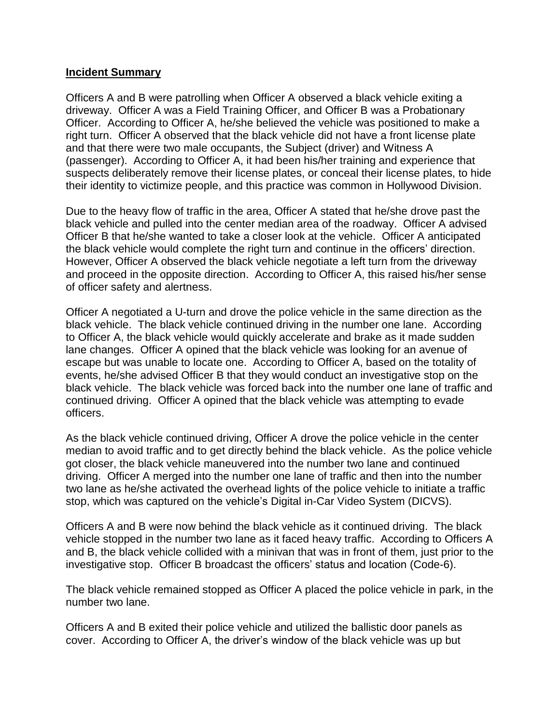#### **Incident Summary**

Officers A and B were patrolling when Officer A observed a black vehicle exiting a driveway. Officer A was a Field Training Officer, and Officer B was a Probationary Officer. According to Officer A, he/she believed the vehicle was positioned to make a right turn. Officer A observed that the black vehicle did not have a front license plate and that there were two male occupants, the Subject (driver) and Witness A (passenger). According to Officer A, it had been his/her training and experience that suspects deliberately remove their license plates, or conceal their license plates, to hide their identity to victimize people, and this practice was common in Hollywood Division.

Due to the heavy flow of traffic in the area, Officer A stated that he/she drove past the black vehicle and pulled into the center median area of the roadway. Officer A advised Officer B that he/she wanted to take a closer look at the vehicle. Officer A anticipated the black vehicle would complete the right turn and continue in the officers' direction. However, Officer A observed the black vehicle negotiate a left turn from the driveway and proceed in the opposite direction. According to Officer A, this raised his/her sense of officer safety and alertness.

Officer A negotiated a U-turn and drove the police vehicle in the same direction as the black vehicle. The black vehicle continued driving in the number one lane. According to Officer A, the black vehicle would quickly accelerate and brake as it made sudden lane changes. Officer A opined that the black vehicle was looking for an avenue of escape but was unable to locate one. According to Officer A, based on the totality of events, he/she advised Officer B that they would conduct an investigative stop on the black vehicle. The black vehicle was forced back into the number one lane of traffic and continued driving. Officer A opined that the black vehicle was attempting to evade officers.

As the black vehicle continued driving, Officer A drove the police vehicle in the center median to avoid traffic and to get directly behind the black vehicle. As the police vehicle got closer, the black vehicle maneuvered into the number two lane and continued driving. Officer A merged into the number one lane of traffic and then into the number two lane as he/she activated the overhead lights of the police vehicle to initiate a traffic stop, which was captured on the vehicle's Digital in-Car Video System (DICVS).

Officers A and B were now behind the black vehicle as it continued driving. The black vehicle stopped in the number two lane as it faced heavy traffic. According to Officers A and B, the black vehicle collided with a minivan that was in front of them, just prior to the investigative stop. Officer B broadcast the officers' status and location (Code-6).

The black vehicle remained stopped as Officer A placed the police vehicle in park, in the number two lane.

Officers A and B exited their police vehicle and utilized the ballistic door panels as cover. According to Officer A, the driver's window of the black vehicle was up but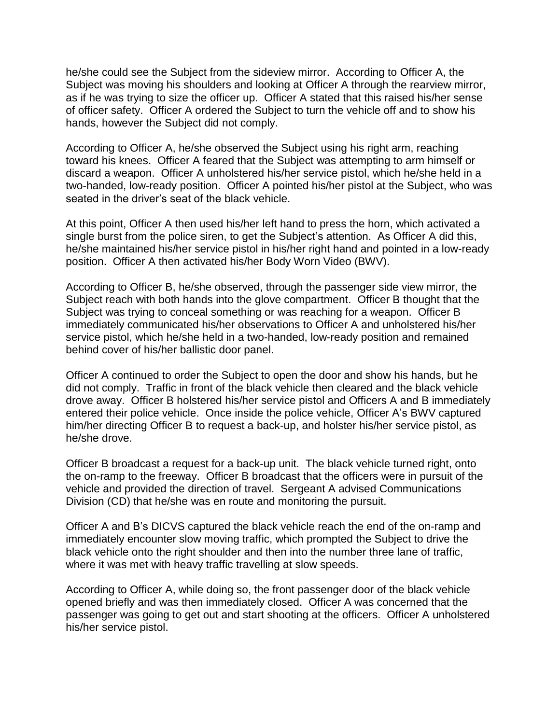he/she could see the Subject from the sideview mirror. According to Officer A, the Subject was moving his shoulders and looking at Officer A through the rearview mirror, as if he was trying to size the officer up. Officer A stated that this raised his/her sense of officer safety. Officer A ordered the Subject to turn the vehicle off and to show his hands, however the Subject did not comply.

According to Officer A, he/she observed the Subject using his right arm, reaching toward his knees. Officer A feared that the Subject was attempting to arm himself or discard a weapon. Officer A unholstered his/her service pistol, which he/she held in a two-handed, low-ready position. Officer A pointed his/her pistol at the Subject, who was seated in the driver's seat of the black vehicle.

At this point, Officer A then used his/her left hand to press the horn, which activated a single burst from the police siren, to get the Subject's attention. As Officer A did this, he/she maintained his/her service pistol in his/her right hand and pointed in a low-ready position. Officer A then activated his/her Body Worn Video (BWV).

According to Officer B, he/she observed, through the passenger side view mirror, the Subject reach with both hands into the glove compartment. Officer B thought that the Subject was trying to conceal something or was reaching for a weapon. Officer B immediately communicated his/her observations to Officer A and unholstered his/her service pistol, which he/she held in a two-handed, low-ready position and remained behind cover of his/her ballistic door panel.

Officer A continued to order the Subject to open the door and show his hands, but he did not comply. Traffic in front of the black vehicle then cleared and the black vehicle drove away. Officer B holstered his/her service pistol and Officers A and B immediately entered their police vehicle. Once inside the police vehicle, Officer A's BWV captured him/her directing Officer B to request a back-up, and holster his/her service pistol, as he/she drove.

Officer B broadcast a request for a back-up unit. The black vehicle turned right, onto the on-ramp to the freeway. Officer B broadcast that the officers were in pursuit of the vehicle and provided the direction of travel. Sergeant A advised Communications Division (CD) that he/she was en route and monitoring the pursuit.

Officer A and B's DICVS captured the black vehicle reach the end of the on-ramp and immediately encounter slow moving traffic, which prompted the Subject to drive the black vehicle onto the right shoulder and then into the number three lane of traffic, where it was met with heavy traffic travelling at slow speeds.

According to Officer A, while doing so, the front passenger door of the black vehicle opened briefly and was then immediately closed. Officer A was concerned that the passenger was going to get out and start shooting at the officers. Officer A unholstered his/her service pistol.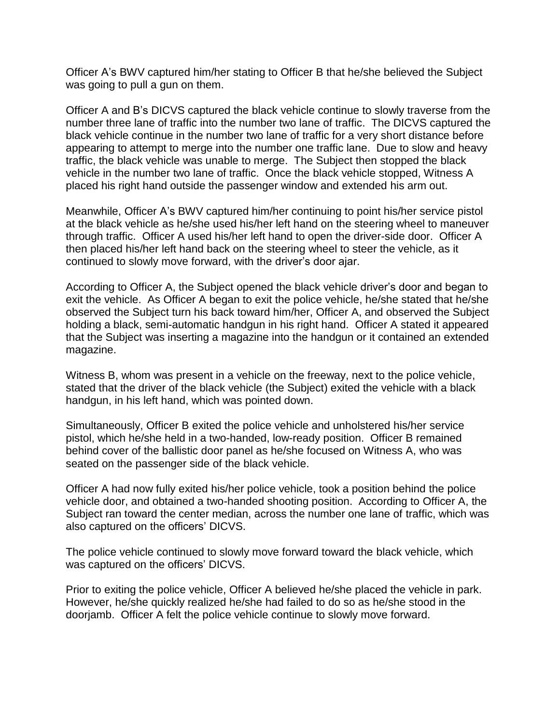Officer A's BWV captured him/her stating to Officer B that he/she believed the Subject was going to pull a gun on them.

Officer A and B's DICVS captured the black vehicle continue to slowly traverse from the number three lane of traffic into the number two lane of traffic. The DICVS captured the black vehicle continue in the number two lane of traffic for a very short distance before appearing to attempt to merge into the number one traffic lane. Due to slow and heavy traffic, the black vehicle was unable to merge. The Subject then stopped the black vehicle in the number two lane of traffic. Once the black vehicle stopped, Witness A placed his right hand outside the passenger window and extended his arm out.

Meanwhile, Officer A's BWV captured him/her continuing to point his/her service pistol at the black vehicle as he/she used his/her left hand on the steering wheel to maneuver through traffic. Officer A used his/her left hand to open the driver-side door. Officer A then placed his/her left hand back on the steering wheel to steer the vehicle, as it continued to slowly move forward, with the driver's door ajar.

According to Officer A, the Subject opened the black vehicle driver's door and began to exit the vehicle. As Officer A began to exit the police vehicle, he/she stated that he/she observed the Subject turn his back toward him/her, Officer A, and observed the Subject holding a black, semi-automatic handgun in his right hand. Officer A stated it appeared that the Subject was inserting a magazine into the handgun or it contained an extended magazine.

Witness B, whom was present in a vehicle on the freeway, next to the police vehicle, stated that the driver of the black vehicle (the Subject) exited the vehicle with a black handgun, in his left hand, which was pointed down.

Simultaneously, Officer B exited the police vehicle and unholstered his/her service pistol, which he/she held in a two-handed, low-ready position. Officer B remained behind cover of the ballistic door panel as he/she focused on Witness A, who was seated on the passenger side of the black vehicle.

Officer A had now fully exited his/her police vehicle, took a position behind the police vehicle door, and obtained a two-handed shooting position. According to Officer A, the Subject ran toward the center median, across the number one lane of traffic, which was also captured on the officers' DICVS.

The police vehicle continued to slowly move forward toward the black vehicle, which was captured on the officers' DICVS.

Prior to exiting the police vehicle, Officer A believed he/she placed the vehicle in park. However, he/she quickly realized he/she had failed to do so as he/she stood in the doorjamb. Officer A felt the police vehicle continue to slowly move forward.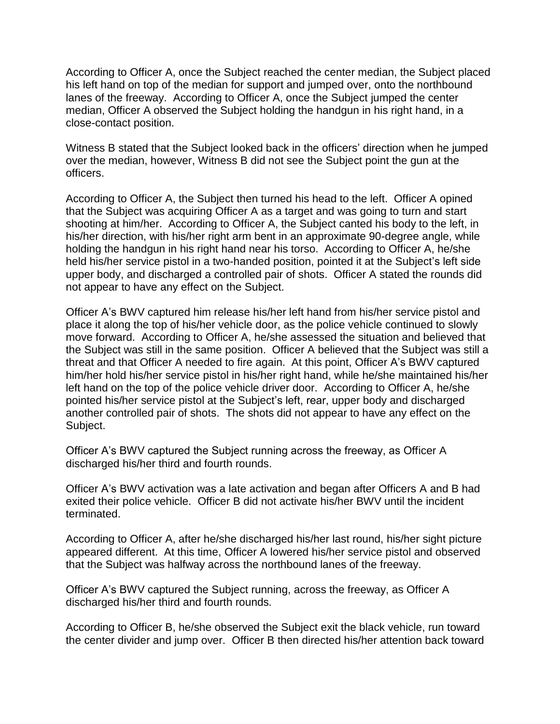According to Officer A, once the Subject reached the center median, the Subject placed his left hand on top of the median for support and jumped over, onto the northbound lanes of the freeway. According to Officer A, once the Subject jumped the center median, Officer A observed the Subject holding the handgun in his right hand, in a close-contact position.

Witness B stated that the Subject looked back in the officers' direction when he jumped over the median, however, Witness B did not see the Subject point the gun at the officers.

According to Officer A, the Subject then turned his head to the left. Officer A opined that the Subject was acquiring Officer A as a target and was going to turn and start shooting at him/her. According to Officer A, the Subject canted his body to the left, in his/her direction, with his/her right arm bent in an approximate 90-degree angle, while holding the handgun in his right hand near his torso. According to Officer A, he/she held his/her service pistol in a two-handed position, pointed it at the Subject's left side upper body, and discharged a controlled pair of shots. Officer A stated the rounds did not appear to have any effect on the Subject.

Officer A's BWV captured him release his/her left hand from his/her service pistol and place it along the top of his/her vehicle door, as the police vehicle continued to slowly move forward. According to Officer A, he/she assessed the situation and believed that the Subject was still in the same position. Officer A believed that the Subject was still a threat and that Officer A needed to fire again. At this point, Officer A's BWV captured him/her hold his/her service pistol in his/her right hand, while he/she maintained his/her left hand on the top of the police vehicle driver door. According to Officer A, he/she pointed his/her service pistol at the Subject's left, rear, upper body and discharged another controlled pair of shots. The shots did not appear to have any effect on the Subject.

Officer A's BWV captured the Subject running across the freeway, as Officer A discharged his/her third and fourth rounds.

Officer A's BWV activation was a late activation and began after Officers A and B had exited their police vehicle. Officer B did not activate his/her BWV until the incident terminated.

According to Officer A, after he/she discharged his/her last round, his/her sight picture appeared different. At this time, Officer A lowered his/her service pistol and observed that the Subject was halfway across the northbound lanes of the freeway.

Officer A's BWV captured the Subject running, across the freeway, as Officer A discharged his/her third and fourth rounds*.*

According to Officer B, he/she observed the Subject exit the black vehicle, run toward the center divider and jump over. Officer B then directed his/her attention back toward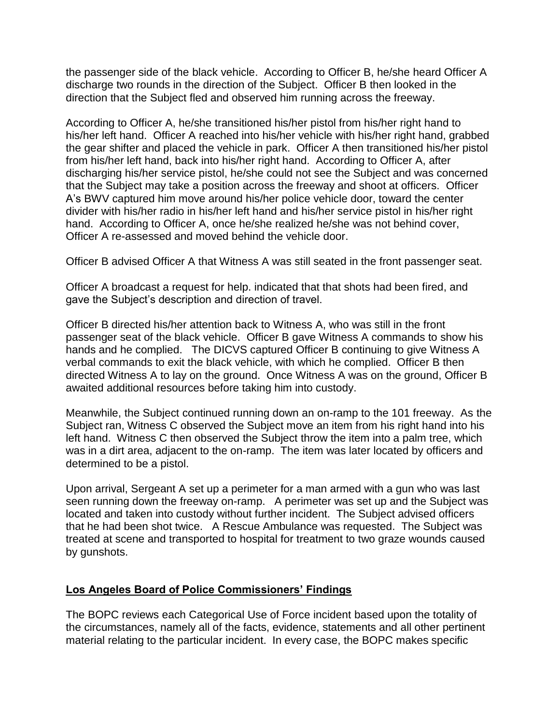the passenger side of the black vehicle. According to Officer B, he/she heard Officer A discharge two rounds in the direction of the Subject. Officer B then looked in the direction that the Subject fled and observed him running across the freeway.

According to Officer A, he/she transitioned his/her pistol from his/her right hand to his/her left hand. Officer A reached into his/her vehicle with his/her right hand, grabbed the gear shifter and placed the vehicle in park. Officer A then transitioned his/her pistol from his/her left hand, back into his/her right hand. According to Officer A, after discharging his/her service pistol, he/she could not see the Subject and was concerned that the Subject may take a position across the freeway and shoot at officers. Officer A's BWV captured him move around his/her police vehicle door, toward the center divider with his/her radio in his/her left hand and his/her service pistol in his/her right hand. According to Officer A, once he/she realized he/she was not behind cover, Officer A re-assessed and moved behind the vehicle door.

Officer B advised Officer A that Witness A was still seated in the front passenger seat.

Officer A broadcast a request for help. indicated that that shots had been fired, and gave the Subject's description and direction of travel.

Officer B directed his/her attention back to Witness A, who was still in the front passenger seat of the black vehicle. Officer B gave Witness A commands to show his hands and he complied. The DICVS captured Officer B continuing to give Witness A verbal commands to exit the black vehicle, with which he complied. Officer B then directed Witness A to lay on the ground. Once Witness A was on the ground, Officer B awaited additional resources before taking him into custody.

Meanwhile, the Subject continued running down an on-ramp to the 101 freeway. As the Subject ran, Witness C observed the Subject move an item from his right hand into his left hand. Witness C then observed the Subject throw the item into a palm tree, which was in a dirt area, adjacent to the on-ramp. The item was later located by officers and determined to be a pistol.

Upon arrival, Sergeant A set up a perimeter for a man armed with a gun who was last seen running down the freeway on-ramp. A perimeter was set up and the Subject was located and taken into custody without further incident. The Subject advised officers that he had been shot twice. A Rescue Ambulance was requested. The Subject was treated at scene and transported to hospital for treatment to two graze wounds caused by gunshots.

### **Los Angeles Board of Police Commissioners' Findings**

The BOPC reviews each Categorical Use of Force incident based upon the totality of the circumstances, namely all of the facts, evidence, statements and all other pertinent material relating to the particular incident. In every case, the BOPC makes specific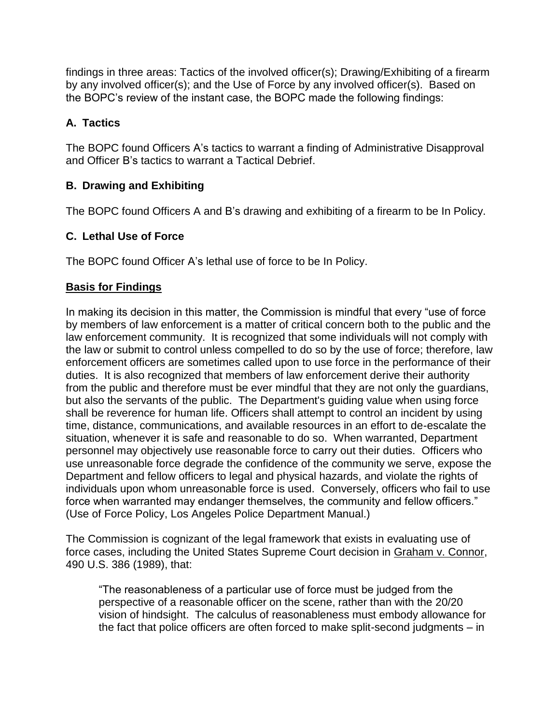findings in three areas: Tactics of the involved officer(s); Drawing/Exhibiting of a firearm by any involved officer(s); and the Use of Force by any involved officer(s). Based on the BOPC's review of the instant case, the BOPC made the following findings:

# **A. Tactics**

The BOPC found Officers A's tactics to warrant a finding of Administrative Disapproval and Officer B's tactics to warrant a Tactical Debrief.

# **B. Drawing and Exhibiting**

The BOPC found Officers A and B's drawing and exhibiting of a firearm to be In Policy.

# **C. Lethal Use of Force**

The BOPC found Officer A's lethal use of force to be In Policy.

## **Basis for Findings**

In making its decision in this matter, the Commission is mindful that every "use of force by members of law enforcement is a matter of critical concern both to the public and the law enforcement community. It is recognized that some individuals will not comply with the law or submit to control unless compelled to do so by the use of force; therefore, law enforcement officers are sometimes called upon to use force in the performance of their duties. It is also recognized that members of law enforcement derive their authority from the public and therefore must be ever mindful that they are not only the guardians, but also the servants of the public. The Department's guiding value when using force shall be reverence for human life. Officers shall attempt to control an incident by using time, distance, communications, and available resources in an effort to de-escalate the situation, whenever it is safe and reasonable to do so. When warranted, Department personnel may objectively use reasonable force to carry out their duties. Officers who use unreasonable force degrade the confidence of the community we serve, expose the Department and fellow officers to legal and physical hazards, and violate the rights of individuals upon whom unreasonable force is used. Conversely, officers who fail to use force when warranted may endanger themselves, the community and fellow officers." (Use of Force Policy, Los Angeles Police Department Manual.)

The Commission is cognizant of the legal framework that exists in evaluating use of force cases, including the United States Supreme Court decision in Graham v. Connor, 490 U.S. 386 (1989), that:

"The reasonableness of a particular use of force must be judged from the perspective of a reasonable officer on the scene, rather than with the 20/20 vision of hindsight. The calculus of reasonableness must embody allowance for the fact that police officers are often forced to make split-second judgments – in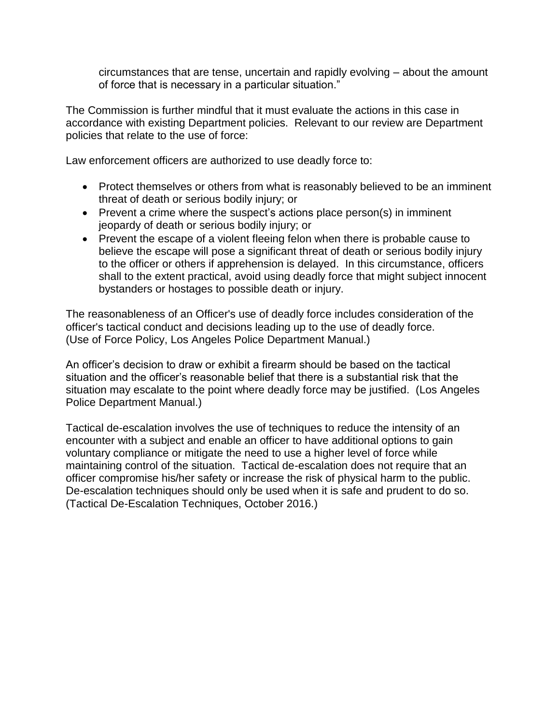circumstances that are tense, uncertain and rapidly evolving – about the amount of force that is necessary in a particular situation."

The Commission is further mindful that it must evaluate the actions in this case in accordance with existing Department policies. Relevant to our review are Department policies that relate to the use of force:

Law enforcement officers are authorized to use deadly force to:

- Protect themselves or others from what is reasonably believed to be an imminent threat of death or serious bodily injury; or
- Prevent a crime where the suspect's actions place person(s) in imminent jeopardy of death or serious bodily injury; or
- Prevent the escape of a violent fleeing felon when there is probable cause to believe the escape will pose a significant threat of death or serious bodily injury to the officer or others if apprehension is delayed. In this circumstance, officers shall to the extent practical, avoid using deadly force that might subject innocent bystanders or hostages to possible death or injury.

The reasonableness of an Officer's use of deadly force includes consideration of the officer's tactical conduct and decisions leading up to the use of deadly force. (Use of Force Policy, Los Angeles Police Department Manual.)

An officer's decision to draw or exhibit a firearm should be based on the tactical situation and the officer's reasonable belief that there is a substantial risk that the situation may escalate to the point where deadly force may be justified. (Los Angeles Police Department Manual.)

Tactical de-escalation involves the use of techniques to reduce the intensity of an encounter with a subject and enable an officer to have additional options to gain voluntary compliance or mitigate the need to use a higher level of force while maintaining control of the situation. Tactical de-escalation does not require that an officer compromise his/her safety or increase the risk of physical harm to the public. De-escalation techniques should only be used when it is safe and prudent to do so. (Tactical De-Escalation Techniques, October 2016.)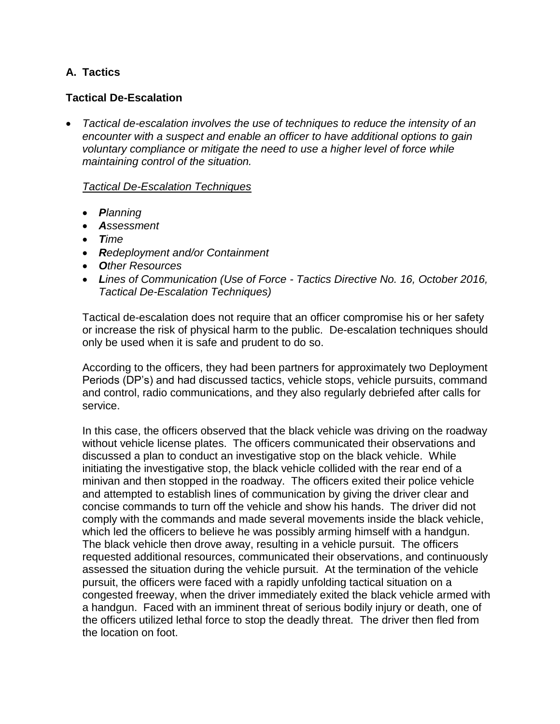## **A. Tactics**

## **Tactical De-Escalation**

• *Tactical de-escalation involves the use of techniques to reduce the intensity of an encounter with a suspect and enable an officer to have additional options to gain voluntary compliance or mitigate the need to use a higher level of force while maintaining control of the situation.*

#### *Tactical De-Escalation Techniques*

- *Planning*
- *Assessment*
- *Time*
- *Redeployment and/or Containment*
- *Other Resources*
- *Lines of Communication (Use of Force - Tactics Directive No. 16, October 2016, Tactical De-Escalation Techniques)*

Tactical de-escalation does not require that an officer compromise his or her safety or increase the risk of physical harm to the public. De-escalation techniques should only be used when it is safe and prudent to do so.

According to the officers, they had been partners for approximately two Deployment Periods (DP's) and had discussed tactics, vehicle stops, vehicle pursuits, command and control, radio communications, and they also regularly debriefed after calls for service.

In this case, the officers observed that the black vehicle was driving on the roadway without vehicle license plates. The officers communicated their observations and discussed a plan to conduct an investigative stop on the black vehicle. While initiating the investigative stop, the black vehicle collided with the rear end of a minivan and then stopped in the roadway. The officers exited their police vehicle and attempted to establish lines of communication by giving the driver clear and concise commands to turn off the vehicle and show his hands. The driver did not comply with the commands and made several movements inside the black vehicle, which led the officers to believe he was possibly arming himself with a handgun. The black vehicle then drove away, resulting in a vehicle pursuit. The officers requested additional resources, communicated their observations, and continuously assessed the situation during the vehicle pursuit. At the termination of the vehicle pursuit, the officers were faced with a rapidly unfolding tactical situation on a congested freeway, when the driver immediately exited the black vehicle armed with a handgun. Faced with an imminent threat of serious bodily injury or death, one of the officers utilized lethal force to stop the deadly threat. The driver then fled from the location on foot.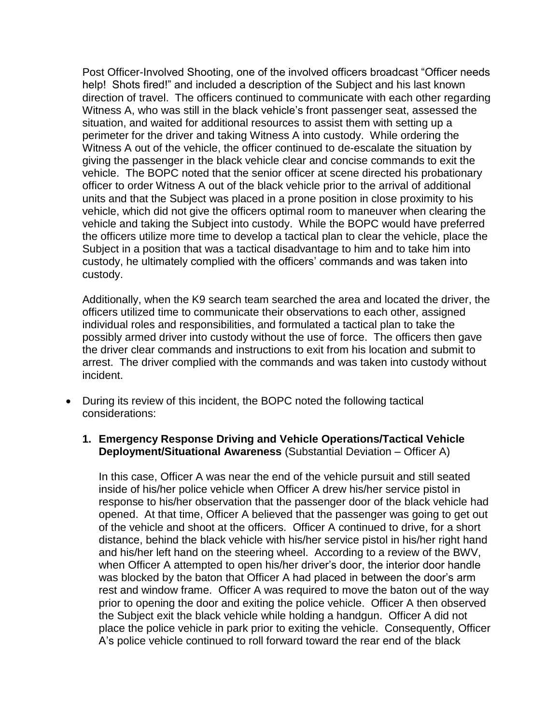Post Officer-Involved Shooting, one of the involved officers broadcast "Officer needs help! Shots fired!" and included a description of the Subject and his last known direction of travel. The officers continued to communicate with each other regarding Witness A, who was still in the black vehicle's front passenger seat, assessed the situation, and waited for additional resources to assist them with setting up a perimeter for the driver and taking Witness A into custody. While ordering the Witness A out of the vehicle, the officer continued to de-escalate the situation by giving the passenger in the black vehicle clear and concise commands to exit the vehicle. The BOPC noted that the senior officer at scene directed his probationary officer to order Witness A out of the black vehicle prior to the arrival of additional units and that the Subject was placed in a prone position in close proximity to his vehicle, which did not give the officers optimal room to maneuver when clearing the vehicle and taking the Subject into custody. While the BOPC would have preferred the officers utilize more time to develop a tactical plan to clear the vehicle, place the Subject in a position that was a tactical disadvantage to him and to take him into custody, he ultimately complied with the officers' commands and was taken into custody.

Additionally, when the K9 search team searched the area and located the driver, the officers utilized time to communicate their observations to each other, assigned individual roles and responsibilities, and formulated a tactical plan to take the possibly armed driver into custody without the use of force. The officers then gave the driver clear commands and instructions to exit from his location and submit to arrest. The driver complied with the commands and was taken into custody without incident.

- During its review of this incident, the BOPC noted the following tactical considerations:
	- **1. Emergency Response Driving and Vehicle Operations/Tactical Vehicle Deployment/Situational Awareness** (Substantial Deviation – Officer A)

In this case, Officer A was near the end of the vehicle pursuit and still seated inside of his/her police vehicle when Officer A drew his/her service pistol in response to his/her observation that the passenger door of the black vehicle had opened. At that time, Officer A believed that the passenger was going to get out of the vehicle and shoot at the officers. Officer A continued to drive, for a short distance, behind the black vehicle with his/her service pistol in his/her right hand and his/her left hand on the steering wheel. According to a review of the BWV, when Officer A attempted to open his/her driver's door, the interior door handle was blocked by the baton that Officer A had placed in between the door's arm rest and window frame. Officer A was required to move the baton out of the way prior to opening the door and exiting the police vehicle. Officer A then observed the Subject exit the black vehicle while holding a handgun. Officer A did not place the police vehicle in park prior to exiting the vehicle. Consequently, Officer A's police vehicle continued to roll forward toward the rear end of the black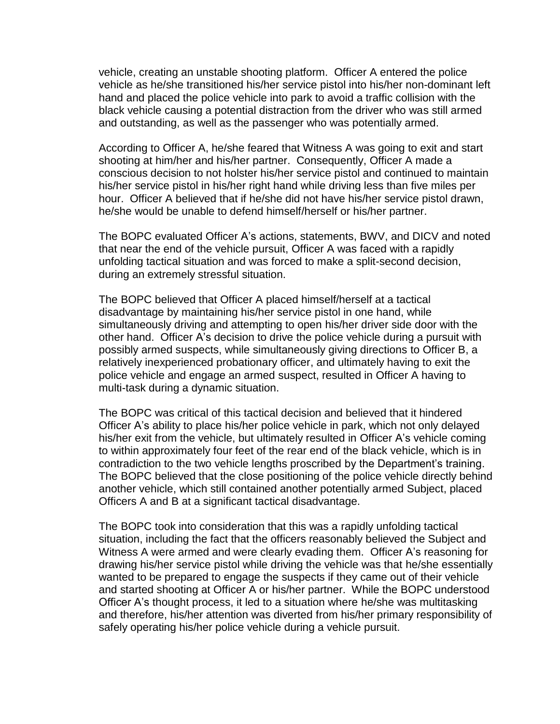vehicle, creating an unstable shooting platform. Officer A entered the police vehicle as he/she transitioned his/her service pistol into his/her non-dominant left hand and placed the police vehicle into park to avoid a traffic collision with the black vehicle causing a potential distraction from the driver who was still armed and outstanding, as well as the passenger who was potentially armed.

According to Officer A, he/she feared that Witness A was going to exit and start shooting at him/her and his/her partner. Consequently, Officer A made a conscious decision to not holster his/her service pistol and continued to maintain his/her service pistol in his/her right hand while driving less than five miles per hour. Officer A believed that if he/she did not have his/her service pistol drawn, he/she would be unable to defend himself/herself or his/her partner.

The BOPC evaluated Officer A's actions, statements, BWV, and DICV and noted that near the end of the vehicle pursuit, Officer A was faced with a rapidly unfolding tactical situation and was forced to make a split-second decision, during an extremely stressful situation.

The BOPC believed that Officer A placed himself/herself at a tactical disadvantage by maintaining his/her service pistol in one hand, while simultaneously driving and attempting to open his/her driver side door with the other hand. Officer A's decision to drive the police vehicle during a pursuit with possibly armed suspects, while simultaneously giving directions to Officer B, a relatively inexperienced probationary officer, and ultimately having to exit the police vehicle and engage an armed suspect, resulted in Officer A having to multi-task during a dynamic situation.

The BOPC was critical of this tactical decision and believed that it hindered Officer A's ability to place his/her police vehicle in park, which not only delayed his/her exit from the vehicle, but ultimately resulted in Officer A's vehicle coming to within approximately four feet of the rear end of the black vehicle, which is in contradiction to the two vehicle lengths proscribed by the Department's training. The BOPC believed that the close positioning of the police vehicle directly behind another vehicle, which still contained another potentially armed Subject, placed Officers A and B at a significant tactical disadvantage.

The BOPC took into consideration that this was a rapidly unfolding tactical situation, including the fact that the officers reasonably believed the Subject and Witness A were armed and were clearly evading them. Officer A's reasoning for drawing his/her service pistol while driving the vehicle was that he/she essentially wanted to be prepared to engage the suspects if they came out of their vehicle and started shooting at Officer A or his/her partner. While the BOPC understood Officer A's thought process, it led to a situation where he/she was multitasking and therefore, his/her attention was diverted from his/her primary responsibility of safely operating his/her police vehicle during a vehicle pursuit.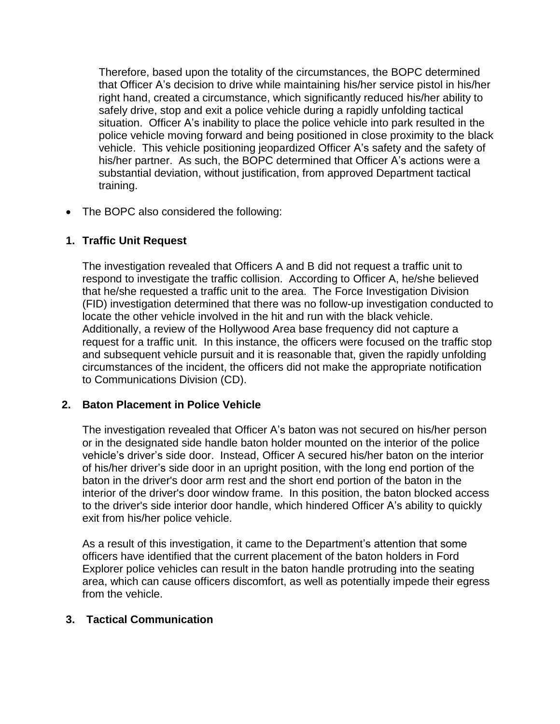Therefore, based upon the totality of the circumstances, the BOPC determined that Officer A's decision to drive while maintaining his/her service pistol in his/her right hand, created a circumstance, which significantly reduced his/her ability to safely drive, stop and exit a police vehicle during a rapidly unfolding tactical situation. Officer A's inability to place the police vehicle into park resulted in the police vehicle moving forward and being positioned in close proximity to the black vehicle. This vehicle positioning jeopardized Officer A's safety and the safety of his/her partner. As such, the BOPC determined that Officer A's actions were a substantial deviation, without justification, from approved Department tactical training.

• The BOPC also considered the following:

## **1. Traffic Unit Request**

The investigation revealed that Officers A and B did not request a traffic unit to respond to investigate the traffic collision. According to Officer A, he/she believed that he/she requested a traffic unit to the area. The Force Investigation Division (FID) investigation determined that there was no follow-up investigation conducted to locate the other vehicle involved in the hit and run with the black vehicle. Additionally, a review of the Hollywood Area base frequency did not capture a request for a traffic unit. In this instance, the officers were focused on the traffic stop and subsequent vehicle pursuit and it is reasonable that, given the rapidly unfolding circumstances of the incident, the officers did not make the appropriate notification to Communications Division (CD).

## **2. Baton Placement in Police Vehicle**

The investigation revealed that Officer A's baton was not secured on his/her person or in the designated side handle baton holder mounted on the interior of the police vehicle's driver's side door. Instead, Officer A secured his/her baton on the interior of his/her driver's side door in an upright position, with the long end portion of the baton in the driver's door arm rest and the short end portion of the baton in the interior of the driver's door window frame. In this position, the baton blocked access to the driver's side interior door handle, which hindered Officer A's ability to quickly exit from his/her police vehicle.

As a result of this investigation, it came to the Department's attention that some officers have identified that the current placement of the baton holders in Ford Explorer police vehicles can result in the baton handle protruding into the seating area, which can cause officers discomfort, as well as potentially impede their egress from the vehicle.

### **3. Tactical Communication**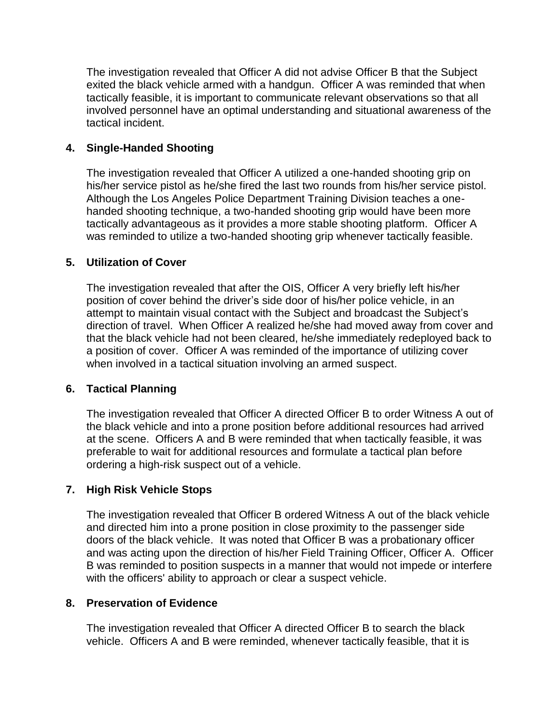The investigation revealed that Officer A did not advise Officer B that the Subject exited the black vehicle armed with a handgun. Officer A was reminded that when tactically feasible, it is important to communicate relevant observations so that all involved personnel have an optimal understanding and situational awareness of the tactical incident.

### **4. Single-Handed Shooting**

The investigation revealed that Officer A utilized a one-handed shooting grip on his/her service pistol as he/she fired the last two rounds from his/her service pistol. Although the Los Angeles Police Department Training Division teaches a onehanded shooting technique, a two-handed shooting grip would have been more tactically advantageous as it provides a more stable shooting platform. Officer A was reminded to utilize a two-handed shooting grip whenever tactically feasible.

### **5. Utilization of Cover**

The investigation revealed that after the OIS, Officer A very briefly left his/her position of cover behind the driver's side door of his/her police vehicle, in an attempt to maintain visual contact with the Subject and broadcast the Subject's direction of travel. When Officer A realized he/she had moved away from cover and that the black vehicle had not been cleared, he/she immediately redeployed back to a position of cover. Officer A was reminded of the importance of utilizing cover when involved in a tactical situation involving an armed suspect.

### **6. Tactical Planning**

The investigation revealed that Officer A directed Officer B to order Witness A out of the black vehicle and into a prone position before additional resources had arrived at the scene. Officers A and B were reminded that when tactically feasible, it was preferable to wait for additional resources and formulate a tactical plan before ordering a high-risk suspect out of a vehicle.

## **7. High Risk Vehicle Stops**

The investigation revealed that Officer B ordered Witness A out of the black vehicle and directed him into a prone position in close proximity to the passenger side doors of the black vehicle. It was noted that Officer B was a probationary officer and was acting upon the direction of his/her Field Training Officer, Officer A. Officer B was reminded to position suspects in a manner that would not impede or interfere with the officers' ability to approach or clear a suspect vehicle.

### **8. Preservation of Evidence**

The investigation revealed that Officer A directed Officer B to search the black vehicle. Officers A and B were reminded, whenever tactically feasible, that it is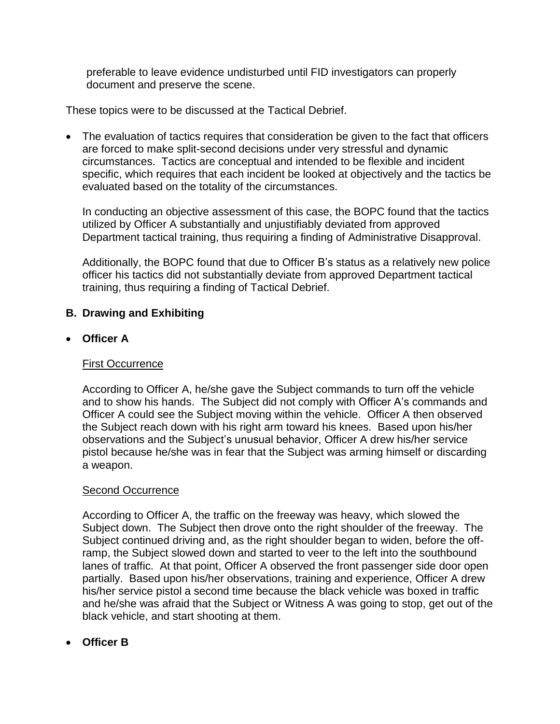preferable to leave evidence undisturbed until FID investigators can properly document and preserve the scene.

These topics were to be discussed at the Tactical Debrief.

• The evaluation of tactics requires that consideration be given to the fact that officers are forced to make split-second decisions under very stressful and dynamic circumstances. Tactics are conceptual and intended to be flexible and incident specific, which requires that each incident be looked at objectively and the tactics be evaluated based on the totality of the circumstances.

In conducting an objective assessment of this case, the BOPC found that the tactics utilized by Officer A substantially and unjustifiably deviated from approved Department tactical training, thus requiring a finding of Administrative Disapproval.

Additionally, the BOPC found that due to Officer B's status as a relatively new police officer his tactics did not substantially deviate from approved Department tactical training, thus requiring a finding of Tactical Debrief.

## **B. Drawing and Exhibiting**

### • **Officer A**

### First Occurrence

According to Officer A, he/she gave the Subject commands to turn off the vehicle and to show his hands. The Subject did not comply with Officer A's commands and Officer A could see the Subject moving within the vehicle. Officer A then observed the Subject reach down with his right arm toward his knees. Based upon his/her observations and the Subject's unusual behavior, Officer A drew his/her service pistol because he/she was in fear that the Subject was arming himself or discarding a weapon.

### **Second Occurrence**

According to Officer A, the traffic on the freeway was heavy, which slowed the Subject down. The Subject then drove onto the right shoulder of the freeway. The Subject continued driving and, as the right shoulder began to widen, before the offramp, the Subject slowed down and started to veer to the left into the southbound lanes of traffic. At that point, Officer A observed the front passenger side door open partially. Based upon his/her observations, training and experience, Officer A drew his/her service pistol a second time because the black vehicle was boxed in traffic and he/she was afraid that the Subject or Witness A was going to stop, get out of the black vehicle, and start shooting at them.

• **Officer B**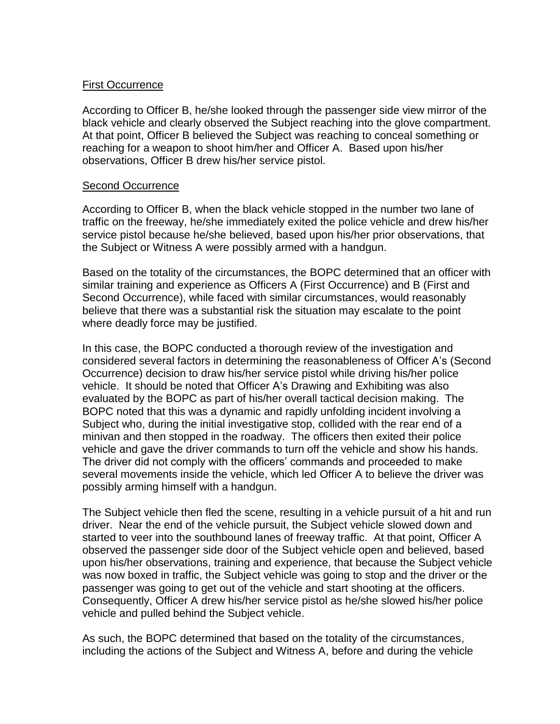### First Occurrence

According to Officer B, he/she looked through the passenger side view mirror of the black vehicle and clearly observed the Subject reaching into the glove compartment. At that point, Officer B believed the Subject was reaching to conceal something or reaching for a weapon to shoot him/her and Officer A. Based upon his/her observations, Officer B drew his/her service pistol.

#### Second Occurrence

According to Officer B, when the black vehicle stopped in the number two lane of traffic on the freeway, he/she immediately exited the police vehicle and drew his/her service pistol because he/she believed, based upon his/her prior observations, that the Subject or Witness A were possibly armed with a handgun.

Based on the totality of the circumstances, the BOPC determined that an officer with similar training and experience as Officers A (First Occurrence) and B (First and Second Occurrence), while faced with similar circumstances, would reasonably believe that there was a substantial risk the situation may escalate to the point where deadly force may be justified.

In this case, the BOPC conducted a thorough review of the investigation and considered several factors in determining the reasonableness of Officer A's (Second Occurrence) decision to draw his/her service pistol while driving his/her police vehicle. It should be noted that Officer A's Drawing and Exhibiting was also evaluated by the BOPC as part of his/her overall tactical decision making. The BOPC noted that this was a dynamic and rapidly unfolding incident involving a Subject who, during the initial investigative stop, collided with the rear end of a minivan and then stopped in the roadway. The officers then exited their police vehicle and gave the driver commands to turn off the vehicle and show his hands. The driver did not comply with the officers' commands and proceeded to make several movements inside the vehicle, which led Officer A to believe the driver was possibly arming himself with a handgun.

The Subject vehicle then fled the scene, resulting in a vehicle pursuit of a hit and run driver. Near the end of the vehicle pursuit, the Subject vehicle slowed down and started to veer into the southbound lanes of freeway traffic. At that point, Officer A observed the passenger side door of the Subject vehicle open and believed, based upon his/her observations, training and experience, that because the Subject vehicle was now boxed in traffic, the Subject vehicle was going to stop and the driver or the passenger was going to get out of the vehicle and start shooting at the officers. Consequently, Officer A drew his/her service pistol as he/she slowed his/her police vehicle and pulled behind the Subject vehicle.

As such, the BOPC determined that based on the totality of the circumstances, including the actions of the Subject and Witness A, before and during the vehicle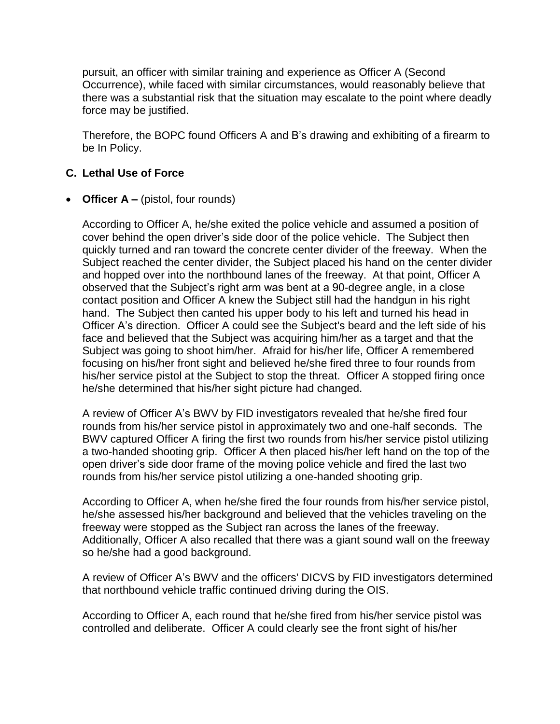pursuit, an officer with similar training and experience as Officer A (Second Occurrence), while faced with similar circumstances, would reasonably believe that there was a substantial risk that the situation may escalate to the point where deadly force may be justified.

Therefore, the BOPC found Officers A and B's drawing and exhibiting of a firearm to be In Policy.

### **C. Lethal Use of Force**

### • **Officer A** – (pistol, four rounds)

According to Officer A, he/she exited the police vehicle and assumed a position of cover behind the open driver's side door of the police vehicle. The Subject then quickly turned and ran toward the concrete center divider of the freeway. When the Subject reached the center divider, the Subject placed his hand on the center divider and hopped over into the northbound lanes of the freeway. At that point, Officer A observed that the Subject's right arm was bent at a 90-degree angle, in a close contact position and Officer A knew the Subject still had the handgun in his right hand. The Subject then canted his upper body to his left and turned his head in Officer A's direction. Officer A could see the Subject's beard and the left side of his face and believed that the Subject was acquiring him/her as a target and that the Subject was going to shoot him/her. Afraid for his/her life, Officer A remembered focusing on his/her front sight and believed he/she fired three to four rounds from his/her service pistol at the Subject to stop the threat. Officer A stopped firing once he/she determined that his/her sight picture had changed.

A review of Officer A's BWV by FID investigators revealed that he/she fired four rounds from his/her service pistol in approximately two and one-half seconds. The BWV captured Officer A firing the first two rounds from his/her service pistol utilizing a two-handed shooting grip. Officer A then placed his/her left hand on the top of the open driver's side door frame of the moving police vehicle and fired the last two rounds from his/her service pistol utilizing a one-handed shooting grip.

According to Officer A, when he/she fired the four rounds from his/her service pistol, he/she assessed his/her background and believed that the vehicles traveling on the freeway were stopped as the Subject ran across the lanes of the freeway. Additionally, Officer A also recalled that there was a giant sound wall on the freeway so he/she had a good background.

A review of Officer A's BWV and the officers' DICVS by FID investigators determined that northbound vehicle traffic continued driving during the OIS.

According to Officer A, each round that he/she fired from his/her service pistol was controlled and deliberate. Officer A could clearly see the front sight of his/her